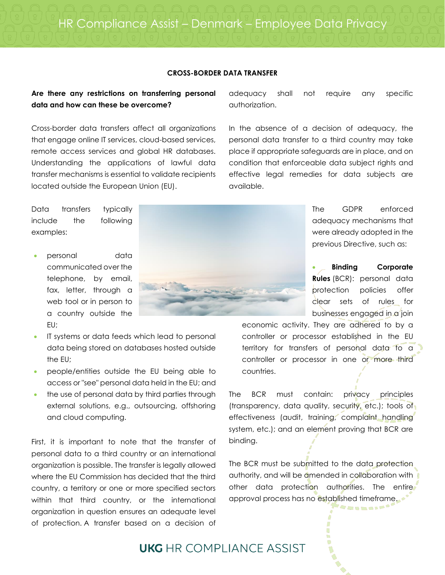## **CROSS-BORDER DATA TRANSFER**

## **Are there any restrictions on transferring personal data and how can these be overcome?**

Cross-border data transfers affect all organizations that engage online IT services, cloud-based services, remote access services and global HR databases. Understanding the applications of lawful data transfer mechanisms is essential to validate recipients located outside the European Union (EU).

adequacy shall not require any specific authorization.

In the absence of a decision of adequacy, the personal data transfer to a third country may take place if appropriate safeguards are in place, and on condition that enforceable data subject rights and effective legal remedies for data subjects are available.

Data transfers typically include the following examples:

- personal data communicated over the telephone, by email, fax, letter, through a web tool or in person to a country outside the EU;
- IT systems or data feeds which lead to personal data being stored on databases hosted outside the EU;
- people/entities outside the EU being able to access or "see" personal data held in the EU; and
- the use of personal data by third parties through external solutions, e.g., outsourcing, offshoring and cloud computing.

First, it is important to note that the transfer of personal data to a third country or an international organization is possible. The transfer is legally allowed where the EU Commission has decided that the third country, a territory or one or more specified sectors within that third country, or the international organization in question ensures an adequate level of protection. A transfer based on a decision of

adequacy mechanisms that were already adopted in the previous Directive, such as:

The GDPR enforced

• **Binding Corporate Rules** (BCR): personal data protection policies offer clear sets of rules for businesses engaged in a join

**TAIRDEAL** 

economic activity. They are adhered to by a controller or processor established in the EU territory for transfers of personal data to a controller or processor in one or more third countries.

The BCR must contain: privacy principles (transparency, data quality, security, etc.); tools of effectiveness (audit, training, complaint handling system, etc.); and an element proving that BCR are binding.

The BCR must be submitted to the data protection authority, and will be amended in collaboration with other data protection authorities. The entire approval process has no established timeframe.

**UKG** HR COMPI IANCE ASSIST